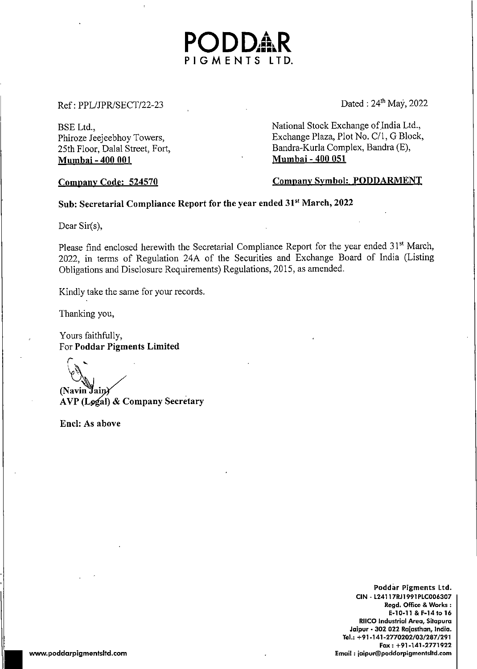## $Ref: PPL/JPR/SECTION2-23$  Dated :  $24<sup>th</sup>$  May, 2022

Mumbai - 400 001

BSE Ltd.,<br>
Phiroze Jeejeebhoy Towers, Sand Allen Barange Plaza, Plot No. C/1, G Block, Phiroze Jeejeebhoy Towers,<br>
25th Floor, Dalal Street, Fort,<br>
25th Floor, Dalal Street, Fort,<br>
25th Floor, Dalal Street, Fort,<br>
25th Floor, Dalal Street, Fort, Bandra-Kurla Complex, Bandra (E),<br>Mumbai - 400 051

Company Code: <sup>524570</sup> Company Symbol: PODDARMENT

## Sub: Secretarial Compliance Report for the year ended 31° March, 2022

Dear Sir(s).

Please find enclosed herewith the Secretarial Compliance Report for the year ended 31<sup>st</sup> March, 2022, in terms of Regulation 24A of the Securities and Exchange Board of India (Listing Obligations and Disclosure Requirements) Regulations, 2015, as amended.

PODDAR<br><sup>PIGMENTS LTD.</sup>

Kindly take the same for your records.

Thanking you,

Yours faithfully, For Poddar Pigments Limited

(Navin Jain)<br>AVP (Legal) & Company Secretary

Encl: As above

Poddar Pigments Ltd. CIN - L24117RJ1991 PLC006307 Regd. Office & Works : E-10-11 & F-14 to 16 RIICO Industrial Area, Sitapura Jaipur - 302 022 Rajasthan, India. Tel,: +91-141-2770202/03/287/291 Fax +91-141-2771922 www.poddarpigmentsitd.com Email jaipur@poddarpigmentsitd.com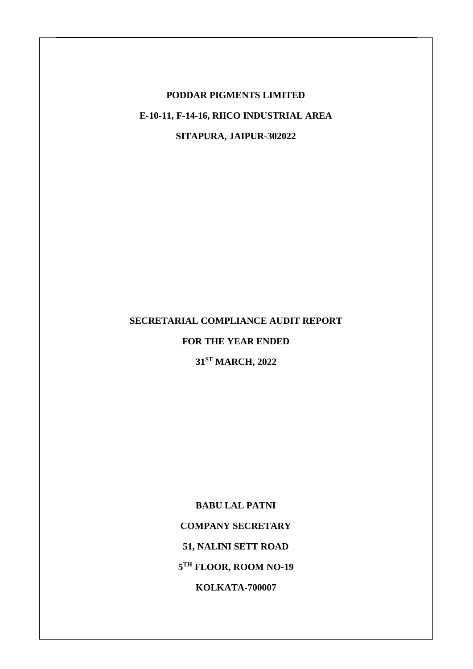## **PODDAR PIGMENTS LIMITED E-10-11, F-14-16, RIICO INDUSTRIAL AREA SITAPURA, JAIPUR-302022**

## **SECRETARIAL COMPLIANCE AUDIT REPORT**

### **FOR THE YEAR ENDED**

**31ST MARCH, 2022**

**BABU LAL PATNI COMPANY SECRETARY 51, NALINI SETT ROAD 5 TH FLOOR, ROOM NO-19 KOLKATA-700007**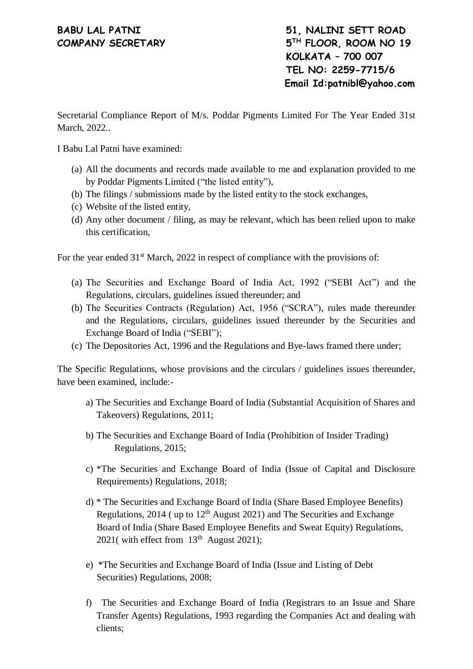# **COMPANY SECRETARY 5**

**BABU LAL PATNI 51, NALINI SETT ROAD TH FLOOR, ROOM NO 19 KOLKATA – 700 007 TEL NO: 2259-7715/6 Email Id:patnibl@yahoo.com**

Secretarial Compliance Report of M/s. Poddar Pigments Limited For The Year Ended 31st March, 2022..

I Babu Lal Patni have examined:

- (a) All the documents and records made available to me and explanation provided to me by Poddar Pigments Limited ("the listed entity"),
- (b) The filings / submissions made by the listed entity to the stock exchanges,
- (c) Website of the listed entity,
- (d) Any other document / filing, as may be relevant, which has been relied upon to make this certification,

For the year ended  $31<sup>st</sup>$  March, 2022 in respect of compliance with the provisions of:

- (a) The Securities and Exchange Board of India Act, 1992 ("SEBI Act") and the Regulations, circulars, guidelines issued thereunder; and
- (b) The Securities Contracts (Regulation) Act, 1956 ("SCRA"), rules made thereunder and the Regulations, circulars, guidelines issued thereunder by the Securities and Exchange Board of India ("SEBI");
- (c) The Depositories Act, 1996 and the Regulations and Bye-laws framed there under;

The Specific Regulations, whose provisions and the circulars / guidelines issues thereunder, have been examined, include:-

- a) The Securities and Exchange Board of India (Substantial Acquisition of Shares and Takeovers) Regulations, 2011;
- b) The Securities and Exchange Board of India (Prohibition of Insider Trading) Regulations, 2015;
- c) \*The Securities and Exchange Board of India (Issue of Capital and Disclosure Requirements) Regulations, 2018;
- d) \* The Securities and Exchange Board of India (Share Based Employee Benefits) Regulations,  $2014$  (up to  $12<sup>th</sup>$  August 2021) and The Securities and Exchange Board of India (Share Based Employee Benefits and Sweat Equity) Regulations, 2021( with effect from  $13<sup>th</sup>$  August 2021);
- e) \*The Securities and Exchange Board of India (Issue and Listing of Debt Securities) Regulations, 2008;
- f) The Securities and Exchange Board of India (Registrars to an Issue and Share Transfer Agents) Regulations, 1993 regarding the Companies Act and dealing with clients;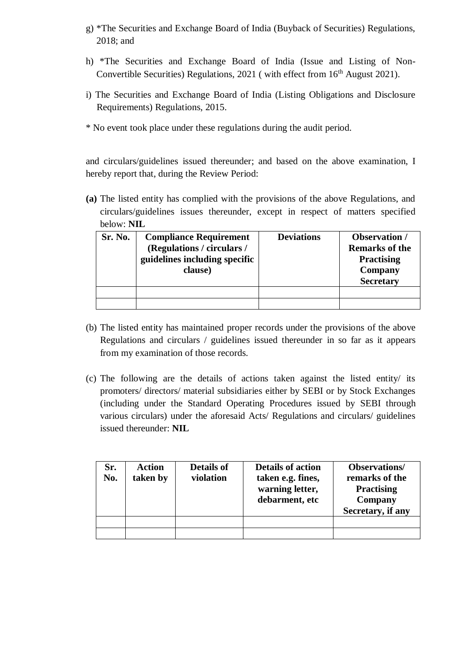- g) \*The Securities and Exchange Board of India (Buyback of Securities) Regulations, 2018; and
- h) \*The Securities and Exchange Board of India (Issue and Listing of Non-Convertible Securities) Regulations, 2021 (with effect from 16<sup>th</sup> August 2021).
- i) The Securities and Exchange Board of India (Listing Obligations and Disclosure Requirements) Regulations, 2015.
- \* No event took place under these regulations during the audit period.

and circulars/guidelines issued thereunder; and based on the above examination, I hereby report that, during the Review Period:

**(a)** The listed entity has complied with the provisions of the above Regulations, and circulars/guidelines issues thereunder, except in respect of matters specified below: **NIL**

| Sr. No. | <b>Compliance Requirement</b><br>(Regulations / circulars /<br>guidelines including specific<br>clause) | <b>Deviations</b> | <b>Observation</b> /<br><b>Remarks of the</b><br><b>Practising</b><br>Company<br><b>Secretary</b> |
|---------|---------------------------------------------------------------------------------------------------------|-------------------|---------------------------------------------------------------------------------------------------|
|         |                                                                                                         |                   |                                                                                                   |
|         |                                                                                                         |                   |                                                                                                   |

- (b) The listed entity has maintained proper records under the provisions of the above Regulations and circulars / guidelines issued thereunder in so far as it appears from my examination of those records.
- (c) The following are the details of actions taken against the listed entity/ its promoters/ directors/ material subsidiaries either by SEBI or by Stock Exchanges (including under the Standard Operating Procedures issued by SEBI through various circulars) under the aforesaid Acts/ Regulations and circulars/ guidelines issued thereunder: **NIL**

| Sr.<br>No. | <b>Action</b><br>taken by | <b>Details of</b><br>violation | <b>Details of action</b><br>taken e.g. fines,<br>warning letter,<br>debarment, etc | <b>Observations/</b><br>remarks of the<br><b>Practising</b><br>Company<br>Secretary, if any |
|------------|---------------------------|--------------------------------|------------------------------------------------------------------------------------|---------------------------------------------------------------------------------------------|
|            |                           |                                |                                                                                    |                                                                                             |
|            |                           |                                |                                                                                    |                                                                                             |